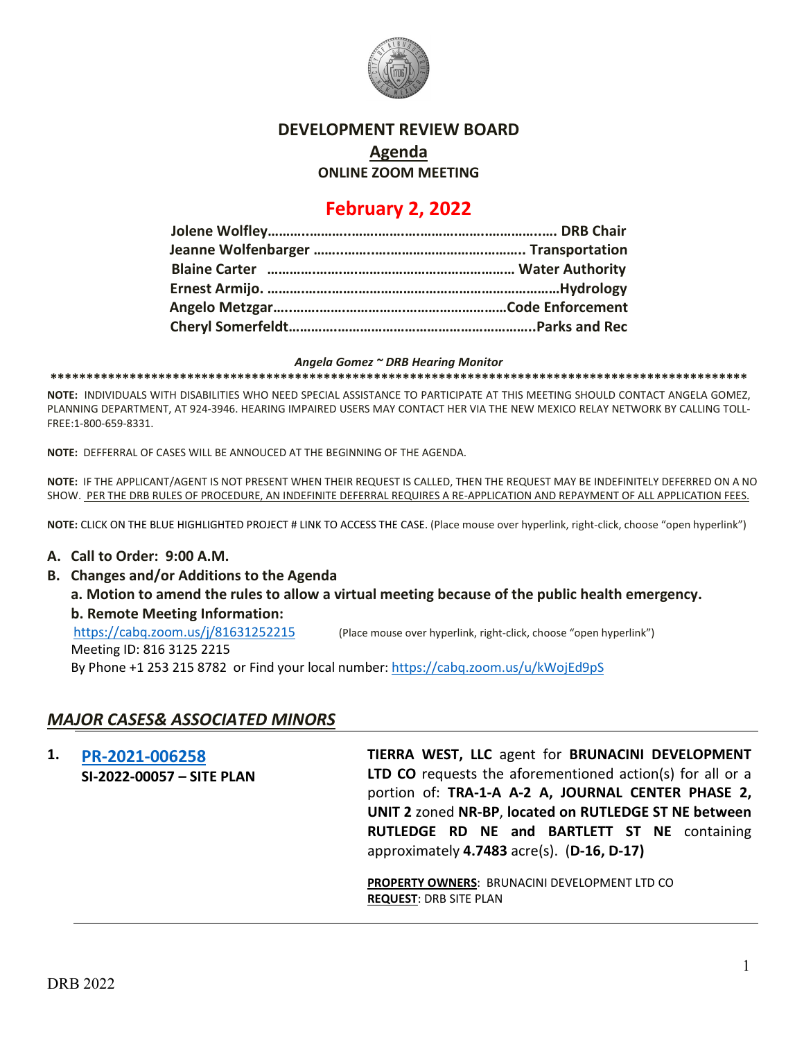

### **DEVELOPMENT REVIEW BOARD**

**Agenda**

**ONLINE ZOOM MEETING**

# **February 2, 2022**

#### *Angela Gomez ~ DRB Hearing Monitor*

**\*\*\*\*\*\*\*\*\*\*\*\*\*\*\*\*\*\*\*\*\*\*\*\*\*\*\*\*\*\*\*\*\*\*\*\*\*\*\*\*\*\*\*\*\*\*\*\*\*\*\*\*\*\*\*\*\*\*\*\*\*\*\*\*\*\*\*\*\*\*\*\*\*\*\*\*\*\*\*\*\*\*\*\*\*\*\*\*\*\*\*\*\*\*\*\*\***

**NOTE:** INDIVIDUALS WITH DISABILITIES WHO NEED SPECIAL ASSISTANCE TO PARTICIPATE AT THIS MEETING SHOULD CONTACT ANGELA GOMEZ, PLANNING DEPARTMENT, AT 924-3946. HEARING IMPAIRED USERS MAY CONTACT HER VIA THE NEW MEXICO RELAY NETWORK BY CALLING TOLL-FREE:1-800-659-8331.

**NOTE:** DEFFERRAL OF CASES WILL BE ANNOUCED AT THE BEGINNING OF THE AGENDA.

**NOTE:** IF THE APPLICANT/AGENT IS NOT PRESENT WHEN THEIR REQUEST IS CALLED, THEN THE REQUEST MAY BE INDEFINITELY DEFERRED ON A NO SHOW. PER THE DRB RULES OF PROCEDURE, AN INDEFINITE DEFERRAL REQUIRES A RE-APPLICATION AND REPAYMENT OF ALL APPLICATION FEES.

**NOTE:** CLICK ON THE BLUE HIGHLIGHTED PROJECT # LINK TO ACCESS THE CASE. (Place mouse over hyperlink, right-click, choose "open hyperlink")

#### **A. Call to Order: 9:00 A.M.**

**B. Changes and/or Additions to the Agenda**

**a. Motion to amend the rules to allow a virtual meeting because of the public health emergency. b. Remote Meeting Information:** 

<https://cabq.zoom.us/j/81631252215> (Place mouse over hyperlink, right-click, choose "open hyperlink")

Meeting ID: 816 3125 2215 By Phone +1 253 215 8782 or Find your local number:<https://cabq.zoom.us/u/kWojEd9pS>

### *MAJOR CASES& ASSOCIATED MINORS*

**1. [PR-2021-006258](http://data.cabq.gov/government/planning/DRB/PR-2021-006258/DRB%20Submittals/PR-2021-006258%20(SI-2022-00057)_Feb_2_2022%20(Site%20Plan)/1.7.2022%20%202021051%2001.04.22%20Tract%20A-2-A%20&%20A-3-A%20Journal%20Center%202%20DRB%20Submittal.pdf) SI-2022-00057 – SITE PLAN TIERRA WEST, LLC** agent for **BRUNACINI DEVELOPMENT LTD CO** requests the aforementioned action(s) for all or a portion of: **TRA-1-A A-2 A, JOURNAL CENTER PHASE 2, UNIT 2** zoned **NR-BP**, **located on RUTLEDGE ST NE between RUTLEDGE RD NE and BARTLETT ST NE** containing approximately **4.7483** acre(s). (**D-16, D-17)**

> **PROPERTY OWNERS**: BRUNACINI DEVELOPMENT LTD CO **REQUEST**: DRB SITE PLAN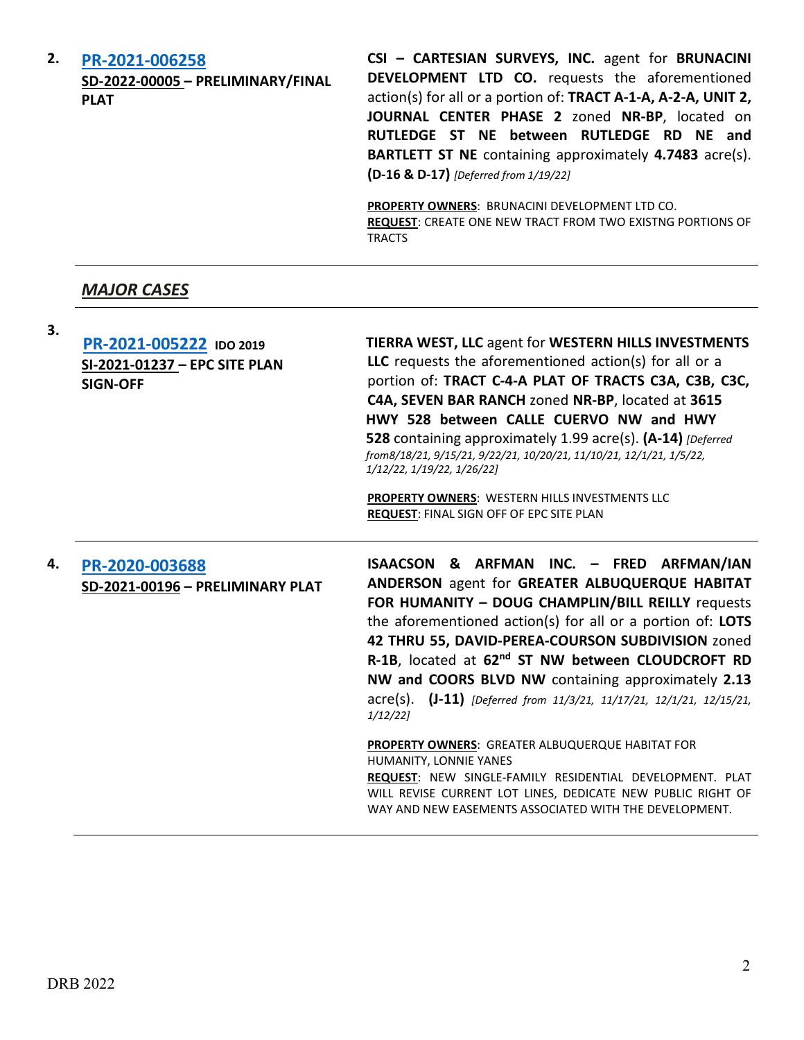| 2. | PR-2021-006258<br>SD-2022-00005 - PRELIMINARY/FINAL<br><b>PLAT</b> | CSI - CARTESIAN SURVEYS, INC. agent for BRUNACINI<br>DEVELOPMENT LTD CO. requests the aforementioned<br>action(s) for all or a portion of: TRACT A-1-A, A-2-A, UNIT 2,<br>JOURNAL CENTER PHASE 2 zoned NR-BP, located on<br>RUTLEDGE ST NE between RUTLEDGE RD NE and<br>BARTLETT ST NE containing approximately 4.7483 acre(s).<br>(D-16 & D-17) [Deferred from 1/19/22] |
|----|--------------------------------------------------------------------|---------------------------------------------------------------------------------------------------------------------------------------------------------------------------------------------------------------------------------------------------------------------------------------------------------------------------------------------------------------------------|
|    |                                                                    | <b>PROPERTY OWNERS: BRUNACINI DEVELOPMENT LTD CO.</b><br><b>REQUEST:</b> CREATE ONE NEW TRACT FROM TWO EXISTNG PORTIONS OF<br><b>TRACTS</b>                                                                                                                                                                                                                               |

# *MAJOR CASES*

| 3. | PR-2021-005222 IDO 2019<br>SI-2021-01237 - EPC SITE PLAN<br><b>SIGN-OFF</b> | <b>TIERRA WEST, LLC agent for WESTERN HILLS INVESTMENTS</b><br>LLC requests the aforementioned action(s) for all or a<br>portion of: TRACT C-4-A PLAT OF TRACTS C3A, C3B, C3C,<br>C4A, SEVEN BAR RANCH zoned NR-BP, located at 3615<br>HWY 528 between CALLE CUERVO NW and HWY<br>528 containing approximately 1.99 acre(s). (A-14) [Deferred<br>from8/18/21, 9/15/21, 9/22/21, 10/20/21, 11/10/21, 12/1/21, 1/5/22,<br>1/12/22, 1/19/22, 1/26/22]<br>PROPERTY OWNERS: WESTERN HILLS INVESTMENTS LLC<br>REQUEST: FINAL SIGN OFF OF EPC SITE PLAN                                                                                                                                                                                                           |
|----|-----------------------------------------------------------------------------|------------------------------------------------------------------------------------------------------------------------------------------------------------------------------------------------------------------------------------------------------------------------------------------------------------------------------------------------------------------------------------------------------------------------------------------------------------------------------------------------------------------------------------------------------------------------------------------------------------------------------------------------------------------------------------------------------------------------------------------------------------|
| 4. | PR-2020-003688<br>SD-2021-00196 - PRELIMINARY PLAT                          | ISAACSON & ARFMAN INC. - FRED ARFMAN/IAN<br>ANDERSON agent for GREATER ALBUQUERQUE HABITAT<br>FOR HUMANITY - DOUG CHAMPLIN/BILL REILLY requests<br>the aforementioned action(s) for all or a portion of: LOTS<br>42 THRU 55, DAVID-PEREA-COURSON SUBDIVISION zoned<br>R-1B, located at 62 <sup>nd</sup> ST NW between CLOUDCROFT RD<br>NW and COORS BLVD NW containing approximately 2.13<br>acre(s). (J-11) [Deferred from 11/3/21, 11/17/21, 12/1/21, 12/15/21,<br>$1/12/22$ ]<br><b>PROPERTY OWNERS: GREATER ALBUQUERQUE HABITAT FOR</b><br>HUMANITY, LONNIE YANES<br>REQUEST: NEW SINGLE-FAMILY RESIDENTIAL DEVELOPMENT. PLAT<br>WILL REVISE CURRENT LOT LINES, DEDICATE NEW PUBLIC RIGHT OF<br>WAY AND NEW EASEMENTS ASSOCIATED WITH THE DEVELOPMENT. |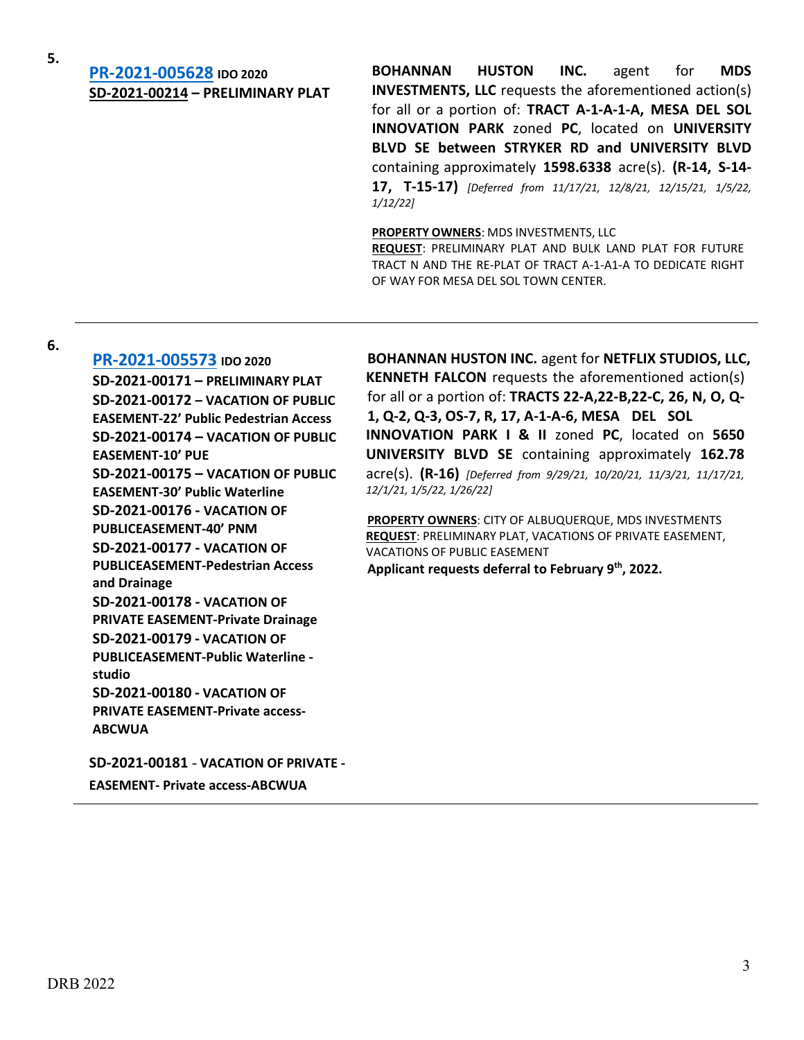# **5. [PR-2021-005628](http://data.cabq.gov/government/planning/DRB/PR-2021-005628/DRB%20Submittals/) IDO <sup>2020</sup> SD-2021-00214 – PRELIMINARY PLAT**

**BOHANNAN HUSTON INC.** agent for **MDS INVESTMENTS, LLC** requests the aforementioned action(s) for all or a portion of: **TRACT A-1-A-1-A, MESA DEL SOL INNOVATION PARK** zoned **PC**, located on **UNIVERSITY BLVD SE between STRYKER RD and UNIVERSITY BLVD** containing approximately **1598.6338** acre(s). **(R-14, S-14- 17, T-15-17)** *[Deferred from 11/17/21, 12/8/21, 12/15/21, 1/5/22, 1/12/22]*

**PROPERTY OWNERS**: MDS INVESTMENTS, LLC

**REQUEST**: PRELIMINARY PLAT AND BULK LAND PLAT FOR FUTURE TRACT N AND THE RE-PLAT OF TRACT A-1-A1-A TO DEDICATE RIGHT OF WAY FOR MESA DEL SOL TOWN CENTER.

**6.**

**[PR-2021-005573](http://data.cabq.gov/government/planning/DRB/PR-2021-005573/DRB%20Submittals/) IDO 2020 SD-2021-00171 – PRELIMINARY PLAT SD-2021-00172 – VACATION OF PUBLIC EASEMENT-22' Public Pedestrian Access SD-2021-00174 – VACATION OF PUBLIC EASEMENT-10' PUE SD-2021-00175 – VACATION OF PUBLIC EASEMENT-30' Public Waterline SD-2021-00176 - VACATION OF PUBLICEASEMENT-40' PNM SD-2021-00177 - VACATION OF PUBLICEASEMENT-Pedestrian Access and Drainage SD-2021-00178 - VACATION OF PRIVATE EASEMENT-Private Drainage SD-2021-00179 - VACATION OF PUBLICEASEMENT-Public Waterline studio SD-2021-00180 - VACATION OF PRIVATE EASEMENT-Private access-ABCWUA**

**SD-2021-00181** - **VACATION OF PRIVATE - EASEMENT- Private access-ABCWUA**

**BOHANNAN HUSTON INC.** agent for **NETFLIX STUDIOS, LLC, KENNETH FALCON** requests the aforementioned action(s) for all or a portion of: **TRACTS 22-A,22-B,22-C, 26, N, O, Q-1, Q-2, Q-3, OS-7, R, 17, A-1-A-6, MESA DEL SOL INNOVATION PARK I & II** zoned **PC**, located on **5650 UNIVERSITY BLVD SE** containing approximately **162.78** acre(s). **(R-16)** *[Deferred from 9/29/21, 10/20/21, 11/3/21, 11/17/21, 12/1/21, 1/5/22, 1/26/22]*

**PROPERTY OWNERS**: CITY OF ALBUQUERQUE, MDS INVESTMENTS **REQUEST**: PRELIMINARY PLAT, VACATIONS OF PRIVATE EASEMENT, VACATIONS OF PUBLIC EASEMENT **Applicant requests deferral to February 9th, 2022.**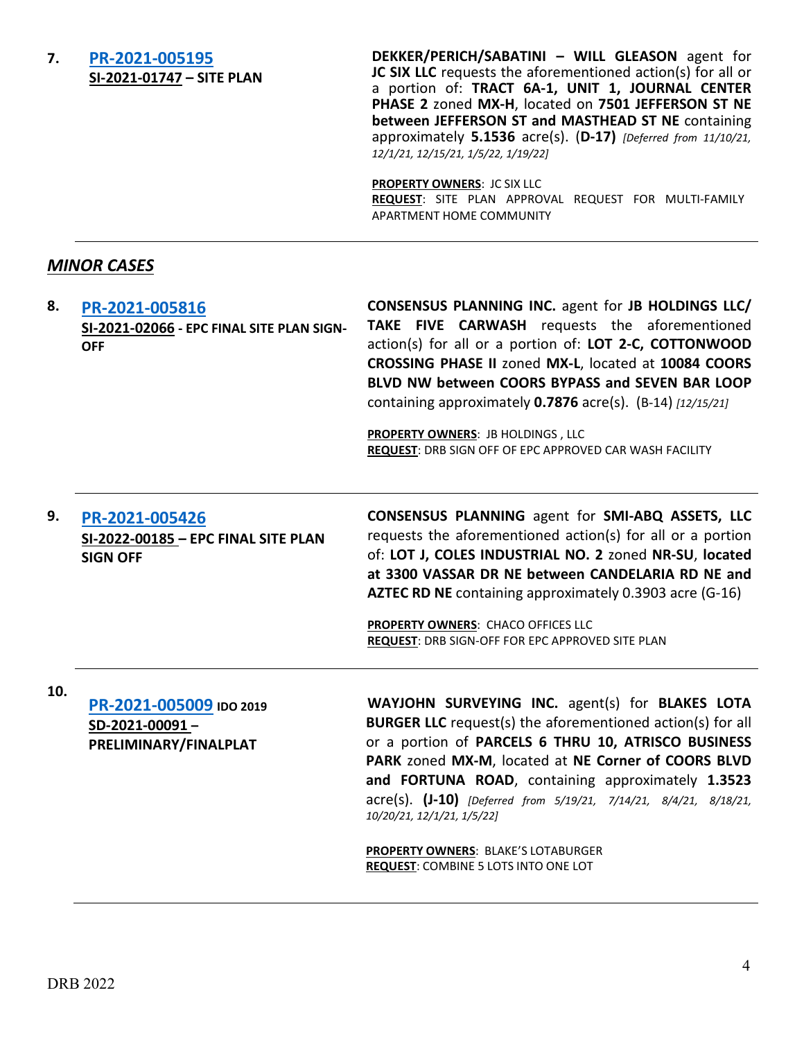### **7. [PR-2021-005195](http://data.cabq.gov/government/planning/DRB/PR-2021-005195/DRB%20Submittals/) SI-2021-01747 – SITE PLAN**

**DEKKER/PERICH/SABATINI – WILL GLEASON** agent for **JC SIX LLC** requests the aforementioned action(s) for all or a portion of: **TRACT 6A-1, UNIT 1, JOURNAL CENTER PHASE 2** zoned **MX-H**, located on **7501 JEFFERSON ST NE between JEFFERSON ST and MASTHEAD ST NE** containing approximately **5.1536** acre(s). (**D-17)** *[Deferred from 11/10/21, 12/1/21, 12/15/21, 1/5/22, 1/19/22]*

**PROPERTY OWNERS**: JC SIX LLC **REQUEST**: SITE PLAN APPROVAL REQUEST FOR MULTI-FAMILY APARTMENT HOME COMMUNITY

## *MINOR CASES*

**8. [PR-2021-005816](http://data.cabq.gov/government/planning/DRB/PR-2021-005816/DRB%20Submittals/) SI-2021-02066 - EPC FINAL SITE PLAN SIGN-OFF CONSENSUS PLANNING INC.** agent for **JB HOLDINGS LLC/ TAKE FIVE CARWASH** requests the aforementioned action(s) for all or a portion of: **LOT 2-C, COTTONWOOD CROSSING PHASE II** zoned **MX-L**, located at **10084 COORS BLVD NW between COORS BYPASS and SEVEN BAR LOOP**  containing approximately **0.7876** acre(s). (B-14) *[12/15/21]*

> **PROPERTY OWNERS**: JB HOLDINGS , LLC **REQUEST**: DRB SIGN OFF OF EPC APPROVED CAR WASH FACILITY

### **9. [PR-2021-005426](http://data.cabq.gov/government/planning/DRB/) SI-2022-00185 – EPC FINAL SITE PLAN SIGN OFF**

**CONSENSUS PLANNING** agent for **SMI-ABQ ASSETS, LLC** requests the aforementioned action(s) for all or a portion of: **LOT J, COLES INDUSTRIAL NO. 2** zoned **NR-SU**, **located at 3300 VASSAR DR NE between CANDELARIA RD NE and AZTEC RD NE** containing approximately 0.3903 acre (G-16)

**PROPERTY OWNERS**: CHACO OFFICES LLC **REQUEST**: DRB SIGN-OFF FOR EPC APPROVED SITE PLAN

**10. [PR-2021-005009](http://data.cabq.gov/government/planning/DRB/PR-2021-005009/DRB%20Submittals/) IDO <sup>2019</sup> SD-2021-00091 – PRELIMINARY/FINALPLAT**

**WAYJOHN SURVEYING INC.** agent(s) for **BLAKES LOTA BURGER LLC** request(s) the aforementioned action(s) for all or a portion of **PARCELS 6 THRU 10, ATRISCO BUSINESS PARK** zoned **MX-M**, located at **NE Corner of COORS BLVD and FORTUNA ROAD**, containing approximately **1.3523** acre(s). **(J-10)** *[Deferred from 5/19/21, 7/14/21, 8/4/21, 8/18/21, 10/20/21, 12/1/21, 1/5/22]*

**PROPERTY OWNERS**: BLAKE'S LOTABURGER **REQUEST**: COMBINE 5 LOTS INTO ONE LOT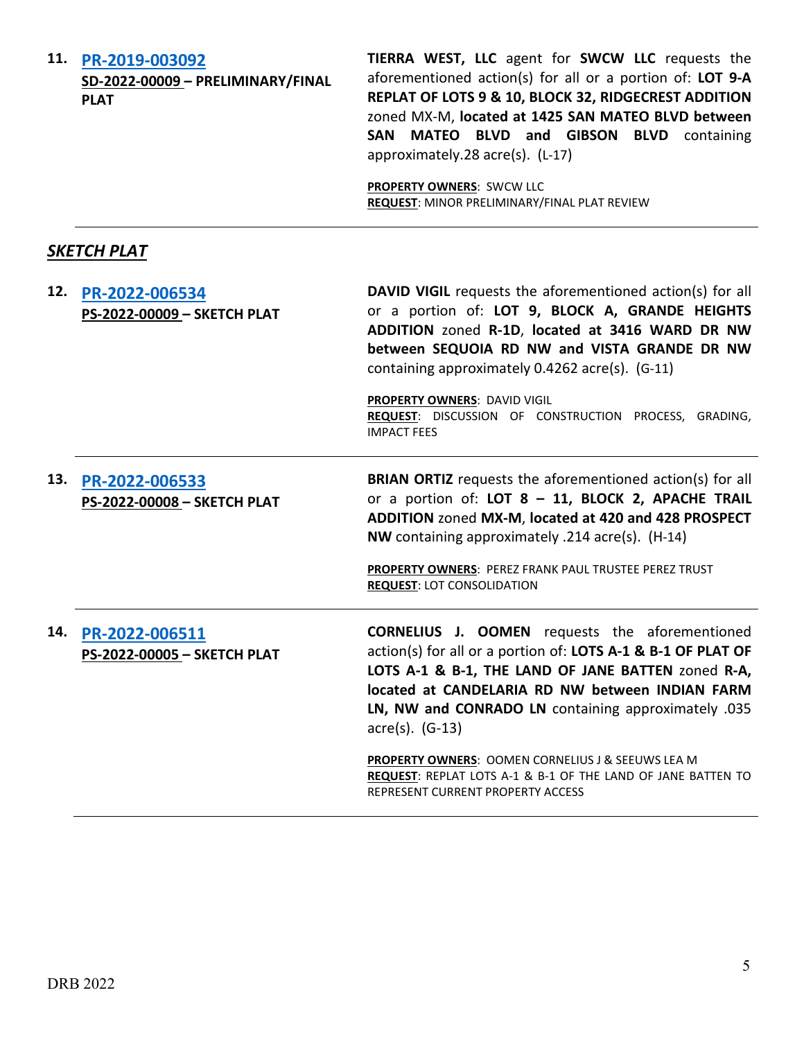| 11. PR-2019-003092 |  |  |
|--------------------|--|--|
|--------------------|--|--|

**SD-2022-00009 – PRELIMINARY/FINAL PLAT**

**TIERRA WEST, LLC** agent for **SWCW LLC** requests the aforementioned action(s) for all or a portion of: **LOT 9-A REPLAT OF LOTS 9 & 10, BLOCK 32, RIDGECREST ADDITION**  zoned MX-M, **located at 1425 SAN MATEO BLVD between SAN MATEO BLVD and GIBSON BLVD** containing approximately.28 acre(s). (L-17)

**PROPERTY OWNERS**: SWCW LLC **REQUEST**: MINOR PRELIMINARY/FINAL PLAT REVIEW

# *SKETCH PLAT*

|     | 12. PR-2022-006534<br>PS-2022-00009 - SKETCH PLAT | <b>DAVID VIGIL</b> requests the aforementioned action(s) for all<br>or a portion of: LOT 9, BLOCK A, GRANDE HEIGHTS<br>ADDITION zoned R-1D, located at 3416 WARD DR NW<br>between SEQUOIA RD NW and VISTA GRANDE DR NW<br>containing approximately 0.4262 acre(s). (G-11)<br>PROPERTY OWNERS: DAVID VIGIL<br>REQUEST: DISCUSSION OF CONSTRUCTION PROCESS, GRADING,<br><b>IMPACT FEES</b> |
|-----|---------------------------------------------------|------------------------------------------------------------------------------------------------------------------------------------------------------------------------------------------------------------------------------------------------------------------------------------------------------------------------------------------------------------------------------------------|
| 13. | PR-2022-006533<br>PS-2022-00008 - SKETCH PLAT     | <b>BRIAN ORTIZ</b> requests the aforementioned action(s) for all<br>or a portion of: LOT 8 - 11, BLOCK 2, APACHE TRAIL<br>ADDITION zoned MX-M, located at 420 and 428 PROSPECT<br>NW containing approximately .214 acre(s). (H-14)<br>PROPERTY OWNERS: PEREZ FRANK PAUL TRUSTEE PEREZ TRUST<br><b>REQUEST: LOT CONSOLIDATION</b>                                                         |
| 14. | PR-2022-006511<br>PS-2022-00005 - SKETCH PLAT     | <b>CORNELIUS J. OOMEN</b> requests the aforementioned<br>action(s) for all or a portion of: LOTS A-1 & B-1 OF PLAT OF<br>LOTS A-1 & B-1, THE LAND OF JANE BATTEN zoned R-A,<br>located at CANDELARIA RD NW between INDIAN FARM<br>LN, NW and CONRADO LN containing approximately .035<br>$\arccos 0$ . (G-13)                                                                            |
|     |                                                   | <b>PROPERTY OWNERS: OOMEN CORNELIUS J &amp; SEEUWS LEA M</b><br>REQUEST: REPLAT LOTS A-1 & B-1 OF THE LAND OF JANE BATTEN TO<br>REPRESENT CURRENT PROPERTY ACCESS                                                                                                                                                                                                                        |